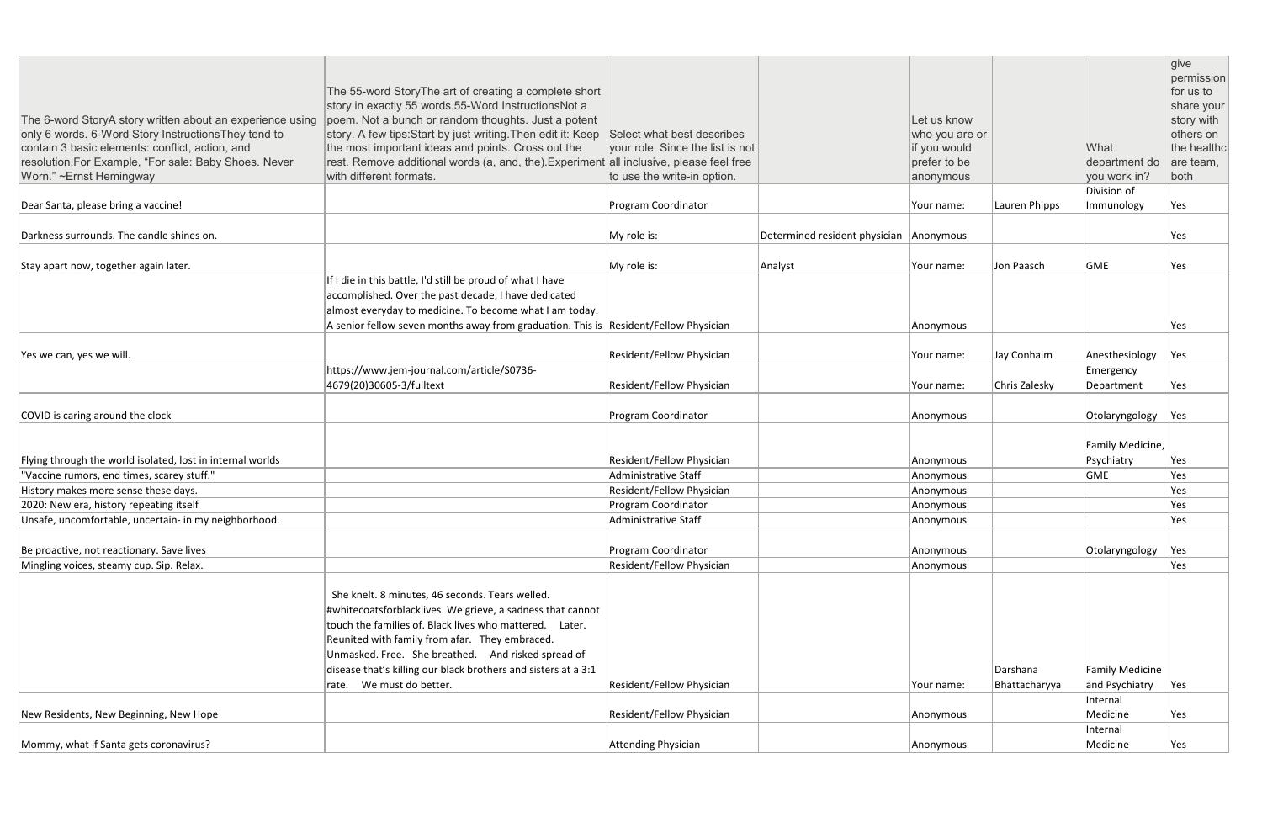| The 6-word StoryA story written about an experience using<br>only 6 words. 6-Word Story Instructions They tend to<br>contain 3 basic elements: conflict, action, and<br>resolution.For Example, "For sale: Baby Shoes. Never<br>Worn." ~Ernst Hemingway | The 55-word StoryThe art of creating a complete short<br>story in exactly 55 words.55-Word InstructionsNot a<br>poem. Not a bunch or random thoughts. Just a potent<br>story. A few tips: Start by just writing. Then edit it: Keep<br>the most important ideas and points. Cross out the<br>rest. Remove additional words (a, and, the). Experiment all inclusive, please feel free<br>with different formats. | Select what best describes<br>your role. Since the list is not<br>to use the write-in option. |                                         | Let us know<br>who you are or<br>if you would<br>prefer to be<br>anonymous |                           | What<br>department do<br>you work in?<br>Division of | give<br>permission<br>for us to<br>share your<br>story with<br>others on<br>the healthc<br>are team,<br>both |
|---------------------------------------------------------------------------------------------------------------------------------------------------------------------------------------------------------------------------------------------------------|-----------------------------------------------------------------------------------------------------------------------------------------------------------------------------------------------------------------------------------------------------------------------------------------------------------------------------------------------------------------------------------------------------------------|-----------------------------------------------------------------------------------------------|-----------------------------------------|----------------------------------------------------------------------------|---------------------------|------------------------------------------------------|--------------------------------------------------------------------------------------------------------------|
| Dear Santa, please bring a vaccine!                                                                                                                                                                                                                     |                                                                                                                                                                                                                                                                                                                                                                                                                 | Program Coordinator                                                                           |                                         | Your name:                                                                 | Lauren Phipps             | Immunology                                           | Yes                                                                                                          |
| Darkness surrounds. The candle shines on.                                                                                                                                                                                                               |                                                                                                                                                                                                                                                                                                                                                                                                                 | My role is:                                                                                   | Determined resident physician Anonymous |                                                                            |                           |                                                      | Yes                                                                                                          |
| Stay apart now, together again later.                                                                                                                                                                                                                   |                                                                                                                                                                                                                                                                                                                                                                                                                 | My role is:                                                                                   | Analyst                                 | Your name:                                                                 | Jon Paasch                | GME                                                  | Yes                                                                                                          |
|                                                                                                                                                                                                                                                         | If I die in this battle, I'd still be proud of what I have<br>accomplished. Over the past decade, I have dedicated<br>almost everyday to medicine. To become what I am today.<br>A senior fellow seven months away from graduation. This is Resident/Fellow Physician                                                                                                                                           |                                                                                               |                                         | Anonymous                                                                  |                           |                                                      | Yes                                                                                                          |
| Yes we can, yes we will.                                                                                                                                                                                                                                |                                                                                                                                                                                                                                                                                                                                                                                                                 | Resident/Fellow Physician                                                                     |                                         | Your name:                                                                 | Jay Conhaim               | Anesthesiology                                       | Yes                                                                                                          |
|                                                                                                                                                                                                                                                         | https://www.jem-journal.com/article/S0736-<br>4679(20)30605-3/fulltext                                                                                                                                                                                                                                                                                                                                          | Resident/Fellow Physician                                                                     |                                         | Your name:                                                                 | Chris Zalesky             | Emergency<br>Department                              | Yes                                                                                                          |
| COVID is caring around the clock                                                                                                                                                                                                                        |                                                                                                                                                                                                                                                                                                                                                                                                                 | Program Coordinator                                                                           |                                         | Anonymous                                                                  |                           | Otolaryngology                                       | Yes                                                                                                          |
| Flying through the world isolated, lost in internal worlds                                                                                                                                                                                              |                                                                                                                                                                                                                                                                                                                                                                                                                 | Resident/Fellow Physician                                                                     |                                         | Anonymous                                                                  |                           | Family Medicine,<br>Psychiatry                       | Yes                                                                                                          |
| "Vaccine rumors, end times, scarey stuff."                                                                                                                                                                                                              |                                                                                                                                                                                                                                                                                                                                                                                                                 | <b>Administrative Staff</b>                                                                   |                                         | Anonymous                                                                  |                           | <b>GME</b>                                           | Yes                                                                                                          |
| History makes more sense these days.                                                                                                                                                                                                                    |                                                                                                                                                                                                                                                                                                                                                                                                                 | Resident/Fellow Physician                                                                     |                                         | Anonymous                                                                  |                           |                                                      | Yes                                                                                                          |
| 2020: New era, history repeating itself                                                                                                                                                                                                                 |                                                                                                                                                                                                                                                                                                                                                                                                                 | Program Coordinator                                                                           |                                         | Anonymous                                                                  |                           |                                                      | Yes                                                                                                          |
| Unsafe, uncomfortable, uncertain- in my neighborhood.                                                                                                                                                                                                   |                                                                                                                                                                                                                                                                                                                                                                                                                 | Administrative Staff                                                                          |                                         | Anonymous                                                                  |                           |                                                      | Yes                                                                                                          |
| Be proactive, not reactionary. Save lives                                                                                                                                                                                                               |                                                                                                                                                                                                                                                                                                                                                                                                                 | Program Coordinator                                                                           |                                         | Anonymous                                                                  |                           | Otolaryngology                                       | Yes                                                                                                          |
| Mingling voices, steamy cup. Sip. Relax.                                                                                                                                                                                                                |                                                                                                                                                                                                                                                                                                                                                                                                                 | Resident/Fellow Physician                                                                     |                                         | Anonymous                                                                  |                           |                                                      | Yes                                                                                                          |
|                                                                                                                                                                                                                                                         | She knelt. 8 minutes, 46 seconds. Tears welled.<br>#whitecoatsforblacklives. We grieve, a sadness that cannot<br>touch the families of. Black lives who mattered. Later.<br>Reunited with family from afar. They embraced.<br>Unmasked. Free. She breathed. And risked spread of<br>disease that's killing our black brothers and sisters at a 3:1<br>rate. We must do better.                                  | Resident/Fellow Physician                                                                     |                                         | Your name:                                                                 | Darshana<br>Bhattacharyya | <b>Family Medicine</b><br>and Psychiatry             | Yes                                                                                                          |
|                                                                                                                                                                                                                                                         |                                                                                                                                                                                                                                                                                                                                                                                                                 |                                                                                               |                                         |                                                                            |                           | Internal                                             |                                                                                                              |
| New Residents, New Beginning, New Hope                                                                                                                                                                                                                  |                                                                                                                                                                                                                                                                                                                                                                                                                 | Resident/Fellow Physician                                                                     |                                         | Anonymous                                                                  |                           | Medicine                                             | Yes                                                                                                          |
|                                                                                                                                                                                                                                                         |                                                                                                                                                                                                                                                                                                                                                                                                                 |                                                                                               |                                         |                                                                            |                           | Internal                                             |                                                                                                              |
| Mommy, what if Santa gets coronavirus?                                                                                                                                                                                                                  |                                                                                                                                                                                                                                                                                                                                                                                                                 | Attending Physician                                                                           |                                         | Anonymous                                                                  |                           | Medicine                                             | Yes                                                                                                          |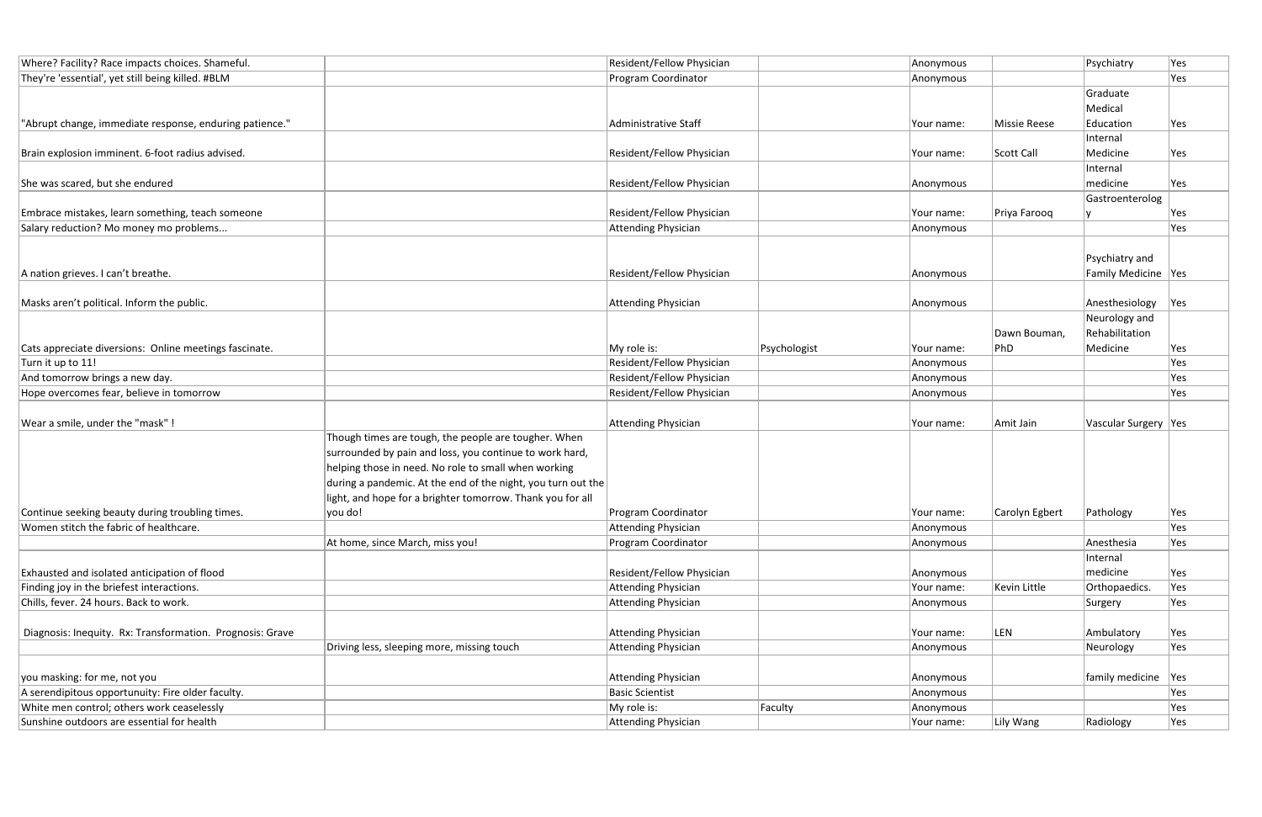| Where? Facility? Race impacts choices. Shameful.          |                                                              | Resident/Fellow Physician  |              | Anonymous  |                     | Psychiatry             | Yes |
|-----------------------------------------------------------|--------------------------------------------------------------|----------------------------|--------------|------------|---------------------|------------------------|-----|
| They're 'essential', yet still being killed. #BLM         |                                                              | Program Coordinator        |              | Anonymous  |                     |                        | Yes |
|                                                           |                                                              |                            |              |            |                     | Graduate               |     |
|                                                           |                                                              |                            |              |            |                     | Medical                |     |
| "Abrupt change, immediate response, enduring patience."   |                                                              | Administrative Staff       |              | Your name: | <b>Missie Reese</b> | Education              | Yes |
|                                                           |                                                              |                            |              |            |                     | Internal               |     |
| Brain explosion imminent. 6-foot radius advised.          |                                                              | Resident/Fellow Physician  |              | Your name: | Scott Call          | Medicine               | Yes |
|                                                           |                                                              |                            |              |            |                     | Internal               |     |
| She was scared, but she endured                           |                                                              | Resident/Fellow Physician  |              | Anonymous  |                     | medicine               | Yes |
|                                                           |                                                              |                            |              |            |                     | Gastroenterolog        |     |
| Embrace mistakes, learn something, teach someone          |                                                              | Resident/Fellow Physician  |              | Your name: | Priya Farooq        |                        | Yes |
| Salary reduction? Mo money mo problems                    |                                                              | <b>Attending Physician</b> |              | Anonymous  |                     |                        | Yes |
|                                                           |                                                              |                            |              |            |                     |                        |     |
|                                                           |                                                              |                            |              |            |                     | Psychiatry and         |     |
| A nation grieves. I can't breathe.                        |                                                              | Resident/Fellow Physician  |              | Anonymous  |                     | Family Medicine Yes    |     |
|                                                           |                                                              |                            |              |            |                     |                        |     |
| Masks aren't political. Inform the public.                |                                                              | <b>Attending Physician</b> |              | Anonymous  |                     | Anesthesiology         | Yes |
|                                                           |                                                              |                            |              |            |                     | Neurology and          |     |
|                                                           |                                                              |                            |              |            | Dawn Bouman,        | Rehabilitation         |     |
| Cats appreciate diversions: Online meetings fascinate.    |                                                              | My role is:                | Psychologist | Your name: | PhD                 | Medicine               | Yes |
| Turn it up to 11!                                         |                                                              | Resident/Fellow Physician  |              | Anonymous  |                     |                        | Yes |
| And tomorrow brings a new day.                            |                                                              | Resident/Fellow Physician  |              | Anonymous  |                     |                        | Yes |
| Hope overcomes fear, believe in tomorrow                  |                                                              | Resident/Fellow Physician  |              | Anonymous  |                     |                        | Yes |
|                                                           |                                                              |                            |              |            |                     |                        |     |
| Wear a smile, under the "mask"!                           |                                                              | <b>Attending Physician</b> |              | Your name: | Amit Jain           | Vascular Surgery   Yes |     |
|                                                           | Though times are tough, the people are tougher. When         |                            |              |            |                     |                        |     |
|                                                           | surrounded by pain and loss, you continue to work hard,      |                            |              |            |                     |                        |     |
|                                                           | helping those in need. No role to small when working         |                            |              |            |                     |                        |     |
|                                                           | during a pandemic. At the end of the night, you turn out the |                            |              |            |                     |                        |     |
|                                                           | light, and hope for a brighter tomorrow. Thank you for all   |                            |              |            |                     |                        |     |
| Continue seeking beauty during troubling times.           | you do!                                                      | Program Coordinator        |              | Your name: | Carolyn Egbert      | Pathology              | Yes |
| Women stitch the fabric of healthcare.                    |                                                              | <b>Attending Physician</b> |              | Anonymous  |                     |                        | Yes |
|                                                           | At home, since March, miss you!                              | Program Coordinator        |              | Anonymous  |                     | Anesthesia             | Yes |
|                                                           |                                                              |                            |              |            |                     | Internal               |     |
| Exhausted and isolated anticipation of flood              |                                                              | Resident/Fellow Physician  |              | Anonymous  |                     | medicine               | Yes |
| Finding joy in the briefest interactions.                 |                                                              | <b>Attending Physician</b> |              | Your name: | Kevin Little        | Orthopaedics.          | Yes |
| Chills, fever. 24 hours. Back to work.                    |                                                              | <b>Attending Physician</b> |              | Anonymous  |                     | Surgery                | Yes |
|                                                           |                                                              |                            |              |            |                     |                        |     |
| Diagnosis: Inequity. Rx: Transformation. Prognosis: Grave |                                                              | <b>Attending Physician</b> |              | Your name: | LEN                 | Ambulatory             | Yes |
|                                                           | Driving less, sleeping more, missing touch                   | <b>Attending Physician</b> |              | Anonymous  |                     | Neurology              | Yes |
|                                                           |                                                              |                            |              |            |                     |                        |     |
| you masking: for me, not you                              |                                                              | <b>Attending Physician</b> |              | Anonymous  |                     | family medicine        | Yes |
| A serendipitous opportunuity: Fire older faculty.         |                                                              | <b>Basic Scientist</b>     |              | Anonymous  |                     |                        | Yes |
| White men control; others work ceaselessly                |                                                              | My role is:                | Faculty      | Anonymous  |                     |                        | Yes |
| Sunshine outdoors are essential for health                |                                                              | <b>Attending Physician</b> |              | Your name: | Lily Wang           | Radiology              | Yes |